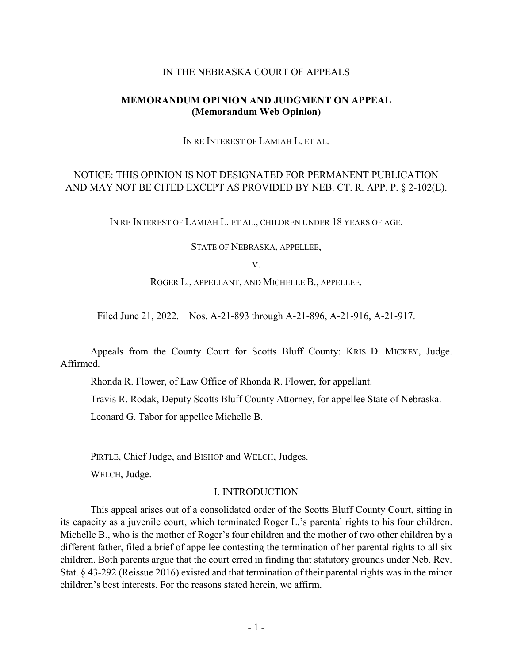#### IN THE NEBRASKA COURT OF APPEALS

### **MEMORANDUM OPINION AND JUDGMENT ON APPEAL (Memorandum Web Opinion)**

IN RE INTEREST OF LAMIAH L. ET AL.

# NOTICE: THIS OPINION IS NOT DESIGNATED FOR PERMANENT PUBLICATION AND MAY NOT BE CITED EXCEPT AS PROVIDED BY NEB. CT. R. APP. P. § 2-102(E).

IN RE INTEREST OF LAMIAH L. ET AL., CHILDREN UNDER 18 YEARS OF AGE.

STATE OF NEBRASKA, APPELLEE,

V.

ROGER L., APPELLANT, AND MICHELLE B., APPELLEE.

Filed June 21, 2022. Nos. A-21-893 through A-21-896, A-21-916, A-21-917.

Appeals from the County Court for Scotts Bluff County: KRIS D. MICKEY, Judge. Affirmed.

Rhonda R. Flower, of Law Office of Rhonda R. Flower, for appellant.

Travis R. Rodak, Deputy Scotts Bluff County Attorney, for appellee State of Nebraska.

Leonard G. Tabor for appellee Michelle B.

PIRTLE, Chief Judge, and BISHOP and WELCH, Judges.

WELCH, Judge.

#### I. INTRODUCTION

This appeal arises out of a consolidated order of the Scotts Bluff County Court, sitting in its capacity as a juvenile court, which terminated Roger L.'s parental rights to his four children. Michelle B., who is the mother of Roger's four children and the mother of two other children by a different father, filed a brief of appellee contesting the termination of her parental rights to all six children. Both parents argue that the court erred in finding that statutory grounds under Neb. Rev. Stat. § 43-292 (Reissue 2016) existed and that termination of their parental rights was in the minor children's best interests. For the reasons stated herein, we affirm.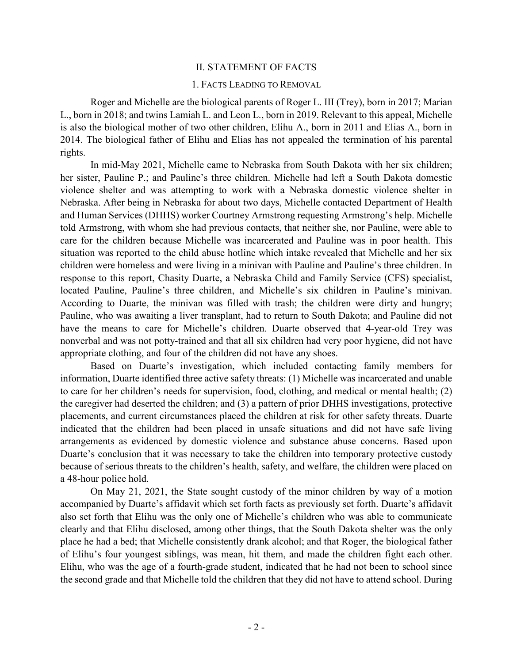#### II. STATEMENT OF FACTS

#### 1. FACTS LEADING TO REMOVAL

Roger and Michelle are the biological parents of Roger L. III (Trey), born in 2017; Marian L., born in 2018; and twins Lamiah L. and Leon L., born in 2019. Relevant to this appeal, Michelle is also the biological mother of two other children, Elihu A., born in 2011 and Elias A., born in 2014. The biological father of Elihu and Elias has not appealed the termination of his parental rights.

In mid-May 2021, Michelle came to Nebraska from South Dakota with her six children; her sister, Pauline P.; and Pauline's three children. Michelle had left a South Dakota domestic violence shelter and was attempting to work with a Nebraska domestic violence shelter in Nebraska. After being in Nebraska for about two days, Michelle contacted Department of Health and Human Services (DHHS) worker Courtney Armstrong requesting Armstrong's help. Michelle told Armstrong, with whom she had previous contacts, that neither she, nor Pauline, were able to care for the children because Michelle was incarcerated and Pauline was in poor health. This situation was reported to the child abuse hotline which intake revealed that Michelle and her six children were homeless and were living in a minivan with Pauline and Pauline's three children. In response to this report, Chasity Duarte, a Nebraska Child and Family Service (CFS) specialist, located Pauline, Pauline's three children, and Michelle's six children in Pauline's minivan. According to Duarte, the minivan was filled with trash; the children were dirty and hungry; Pauline, who was awaiting a liver transplant, had to return to South Dakota; and Pauline did not have the means to care for Michelle's children. Duarte observed that 4-year-old Trey was nonverbal and was not potty-trained and that all six children had very poor hygiene, did not have appropriate clothing, and four of the children did not have any shoes.

Based on Duarte's investigation, which included contacting family members for information, Duarte identified three active safety threats: (1) Michelle was incarcerated and unable to care for her children's needs for supervision, food, clothing, and medical or mental health; (2) the caregiver had deserted the children; and (3) a pattern of prior DHHS investigations, protective placements, and current circumstances placed the children at risk for other safety threats. Duarte indicated that the children had been placed in unsafe situations and did not have safe living arrangements as evidenced by domestic violence and substance abuse concerns. Based upon Duarte's conclusion that it was necessary to take the children into temporary protective custody because of serious threats to the children's health, safety, and welfare, the children were placed on a 48-hour police hold.

On May 21, 2021, the State sought custody of the minor children by way of a motion accompanied by Duarte's affidavit which set forth facts as previously set forth. Duarte's affidavit also set forth that Elihu was the only one of Michelle's children who was able to communicate clearly and that Elihu disclosed, among other things, that the South Dakota shelter was the only place he had a bed; that Michelle consistently drank alcohol; and that Roger, the biological father of Elihu's four youngest siblings, was mean, hit them, and made the children fight each other. Elihu, who was the age of a fourth-grade student, indicated that he had not been to school since the second grade and that Michelle told the children that they did not have to attend school. During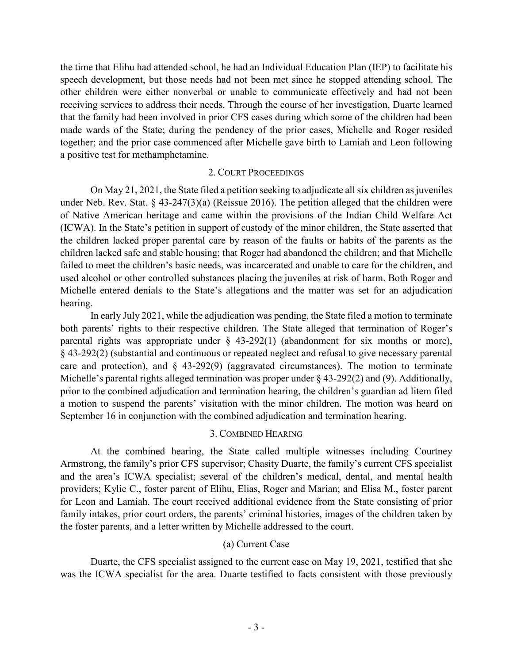the time that Elihu had attended school, he had an Individual Education Plan (IEP) to facilitate his speech development, but those needs had not been met since he stopped attending school. The other children were either nonverbal or unable to communicate effectively and had not been receiving services to address their needs. Through the course of her investigation, Duarte learned that the family had been involved in prior CFS cases during which some of the children had been made wards of the State; during the pendency of the prior cases, Michelle and Roger resided together; and the prior case commenced after Michelle gave birth to Lamiah and Leon following a positive test for methamphetamine.

## 2. COURT PROCEEDINGS

On May 21, 2021, the State filed a petition seeking to adjudicate all six children as juveniles under Neb. Rev. Stat. § 43-247(3)(a) (Reissue 2016). The petition alleged that the children were of Native American heritage and came within the provisions of the Indian Child Welfare Act (ICWA). In the State's petition in support of custody of the minor children, the State asserted that the children lacked proper parental care by reason of the faults or habits of the parents as the children lacked safe and stable housing; that Roger had abandoned the children; and that Michelle failed to meet the children's basic needs, was incarcerated and unable to care for the children, and used alcohol or other controlled substances placing the juveniles at risk of harm. Both Roger and Michelle entered denials to the State's allegations and the matter was set for an adjudication hearing.

In early July 2021, while the adjudication was pending, the State filed a motion to terminate both parents' rights to their respective children. The State alleged that termination of Roger's parental rights was appropriate under § 43-292(1) (abandonment for six months or more), § 43-292(2) (substantial and continuous or repeated neglect and refusal to give necessary parental care and protection), and § 43-292(9) (aggravated circumstances). The motion to terminate Michelle's parental rights alleged termination was proper under § 43-292(2) and (9). Additionally, prior to the combined adjudication and termination hearing, the children's guardian ad litem filed a motion to suspend the parents' visitation with the minor children. The motion was heard on September 16 in conjunction with the combined adjudication and termination hearing.

# 3. COMBINED HEARING

At the combined hearing, the State called multiple witnesses including Courtney Armstrong, the family's prior CFS supervisor; Chasity Duarte, the family's current CFS specialist and the area's ICWA specialist; several of the children's medical, dental, and mental health providers; Kylie C., foster parent of Elihu, Elias, Roger and Marian; and Elisa M., foster parent for Leon and Lamiah. The court received additional evidence from the State consisting of prior family intakes, prior court orders, the parents' criminal histories, images of the children taken by the foster parents, and a letter written by Michelle addressed to the court.

# (a) Current Case

Duarte, the CFS specialist assigned to the current case on May 19, 2021, testified that she was the ICWA specialist for the area. Duarte testified to facts consistent with those previously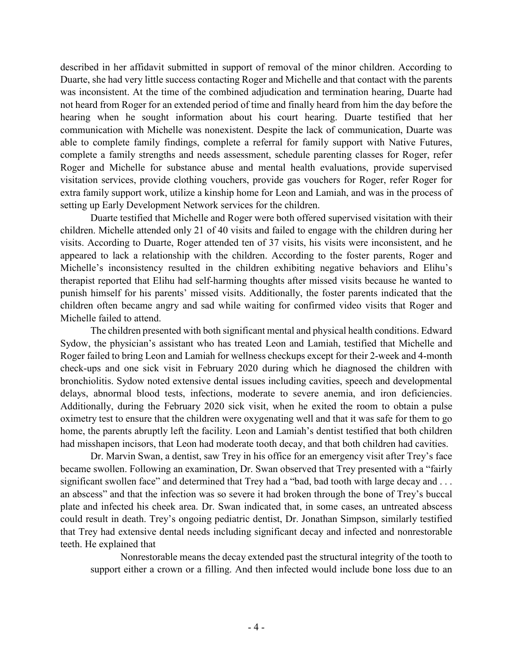described in her affidavit submitted in support of removal of the minor children. According to Duarte, she had very little success contacting Roger and Michelle and that contact with the parents was inconsistent. At the time of the combined adjudication and termination hearing, Duarte had not heard from Roger for an extended period of time and finally heard from him the day before the hearing when he sought information about his court hearing. Duarte testified that her communication with Michelle was nonexistent. Despite the lack of communication, Duarte was able to complete family findings, complete a referral for family support with Native Futures, complete a family strengths and needs assessment, schedule parenting classes for Roger, refer Roger and Michelle for substance abuse and mental health evaluations, provide supervised visitation services, provide clothing vouchers, provide gas vouchers for Roger, refer Roger for extra family support work, utilize a kinship home for Leon and Lamiah, and was in the process of setting up Early Development Network services for the children.

Duarte testified that Michelle and Roger were both offered supervised visitation with their children. Michelle attended only 21 of 40 visits and failed to engage with the children during her visits. According to Duarte, Roger attended ten of 37 visits, his visits were inconsistent, and he appeared to lack a relationship with the children. According to the foster parents, Roger and Michelle's inconsistency resulted in the children exhibiting negative behaviors and Elihu's therapist reported that Elihu had self-harming thoughts after missed visits because he wanted to punish himself for his parents' missed visits. Additionally, the foster parents indicated that the children often became angry and sad while waiting for confirmed video visits that Roger and Michelle failed to attend.

The children presented with both significant mental and physical health conditions. Edward Sydow, the physician's assistant who has treated Leon and Lamiah, testified that Michelle and Roger failed to bring Leon and Lamiah for wellness checkups except for their 2-week and 4-month check-ups and one sick visit in February 2020 during which he diagnosed the children with bronchiolitis. Sydow noted extensive dental issues including cavities, speech and developmental delays, abnormal blood tests, infections, moderate to severe anemia, and iron deficiencies. Additionally, during the February 2020 sick visit, when he exited the room to obtain a pulse oximetry test to ensure that the children were oxygenating well and that it was safe for them to go home, the parents abruptly left the facility. Leon and Lamiah's dentist testified that both children had misshapen incisors, that Leon had moderate tooth decay, and that both children had cavities.

Dr. Marvin Swan, a dentist, saw Trey in his office for an emergency visit after Trey's face became swollen. Following an examination, Dr. Swan observed that Trey presented with a "fairly significant swollen face" and determined that Trey had a "bad, bad tooth with large decay and ... an abscess" and that the infection was so severe it had broken through the bone of Trey's buccal plate and infected his cheek area. Dr. Swan indicated that, in some cases, an untreated abscess could result in death. Trey's ongoing pediatric dentist, Dr. Jonathan Simpson, similarly testified that Trey had extensive dental needs including significant decay and infected and nonrestorable teeth. He explained that

Nonrestorable means the decay extended past the structural integrity of the tooth to support either a crown or a filling. And then infected would include bone loss due to an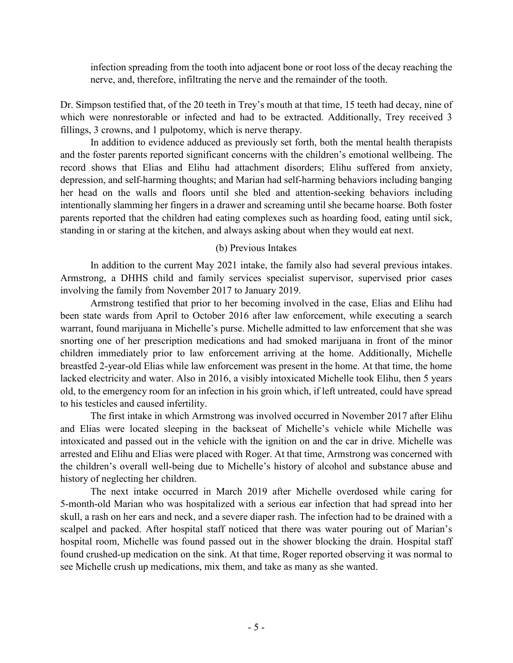infection spreading from the tooth into adjacent bone or root loss of the decay reaching the nerve, and, therefore, infiltrating the nerve and the remainder of the tooth.

Dr. Simpson testified that, of the 20 teeth in Trey's mouth at that time, 15 teeth had decay, nine of which were nonrestorable or infected and had to be extracted. Additionally, Trey received 3 fillings, 3 crowns, and 1 pulpotomy, which is nerve therapy.

In addition to evidence adduced as previously set forth, both the mental health therapists and the foster parents reported significant concerns with the children's emotional wellbeing. The record shows that Elias and Elihu had attachment disorders; Elihu suffered from anxiety, depression, and self-harming thoughts; and Marian had self-harming behaviors including banging her head on the walls and floors until she bled and attention-seeking behaviors including intentionally slamming her fingers in a drawer and screaming until she became hoarse. Both foster parents reported that the children had eating complexes such as hoarding food, eating until sick, standing in or staring at the kitchen, and always asking about when they would eat next.

# (b) Previous Intakes

In addition to the current May 2021 intake, the family also had several previous intakes. Armstrong, a DHHS child and family services specialist supervisor, supervised prior cases involving the family from November 2017 to January 2019.

Armstrong testified that prior to her becoming involved in the case, Elias and Elihu had been state wards from April to October 2016 after law enforcement, while executing a search warrant, found marijuana in Michelle's purse. Michelle admitted to law enforcement that she was snorting one of her prescription medications and had smoked marijuana in front of the minor children immediately prior to law enforcement arriving at the home. Additionally, Michelle breastfed 2-year-old Elias while law enforcement was present in the home. At that time, the home lacked electricity and water. Also in 2016, a visibly intoxicated Michelle took Elihu, then 5 years old, to the emergency room for an infection in his groin which, if left untreated, could have spread to his testicles and caused infertility.

The first intake in which Armstrong was involved occurred in November 2017 after Elihu and Elias were located sleeping in the backseat of Michelle's vehicle while Michelle was intoxicated and passed out in the vehicle with the ignition on and the car in drive. Michelle was arrested and Elihu and Elias were placed with Roger. At that time, Armstrong was concerned with the children's overall well-being due to Michelle's history of alcohol and substance abuse and history of neglecting her children.

The next intake occurred in March 2019 after Michelle overdosed while caring for 5-month-old Marian who was hospitalized with a serious ear infection that had spread into her skull, a rash on her ears and neck, and a severe diaper rash. The infection had to be drained with a scalpel and packed. After hospital staff noticed that there was water pouring out of Marian's hospital room, Michelle was found passed out in the shower blocking the drain. Hospital staff found crushed-up medication on the sink. At that time, Roger reported observing it was normal to see Michelle crush up medications, mix them, and take as many as she wanted.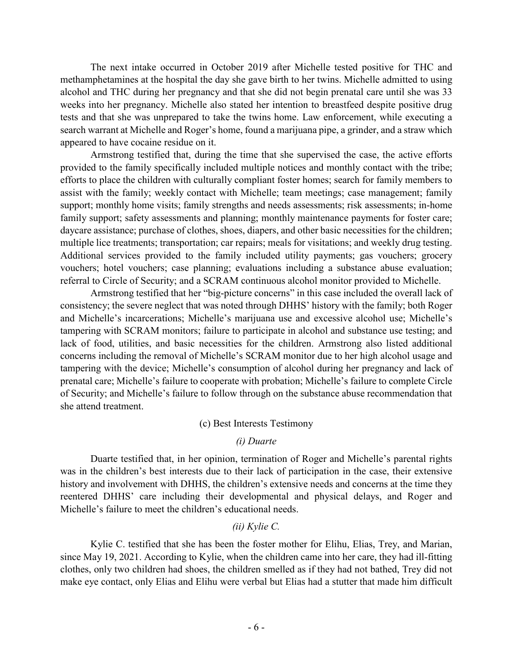The next intake occurred in October 2019 after Michelle tested positive for THC and methamphetamines at the hospital the day she gave birth to her twins. Michelle admitted to using alcohol and THC during her pregnancy and that she did not begin prenatal care until she was 33 weeks into her pregnancy. Michelle also stated her intention to breastfeed despite positive drug tests and that she was unprepared to take the twins home. Law enforcement, while executing a search warrant at Michelle and Roger's home, found a marijuana pipe, a grinder, and a straw which appeared to have cocaine residue on it.

Armstrong testified that, during the time that she supervised the case, the active efforts provided to the family specifically included multiple notices and monthly contact with the tribe; efforts to place the children with culturally compliant foster homes; search for family members to assist with the family; weekly contact with Michelle; team meetings; case management; family support; monthly home visits; family strengths and needs assessments; risk assessments; in-home family support; safety assessments and planning; monthly maintenance payments for foster care; daycare assistance; purchase of clothes, shoes, diapers, and other basic necessities for the children; multiple lice treatments; transportation; car repairs; meals for visitations; and weekly drug testing. Additional services provided to the family included utility payments; gas vouchers; grocery vouchers; hotel vouchers; case planning; evaluations including a substance abuse evaluation; referral to Circle of Security; and a SCRAM continuous alcohol monitor provided to Michelle.

Armstrong testified that her "big-picture concerns" in this case included the overall lack of consistency; the severe neglect that was noted through DHHS' history with the family; both Roger and Michelle's incarcerations; Michelle's marijuana use and excessive alcohol use; Michelle's tampering with SCRAM monitors; failure to participate in alcohol and substance use testing; and lack of food, utilities, and basic necessities for the children. Armstrong also listed additional concerns including the removal of Michelle's SCRAM monitor due to her high alcohol usage and tampering with the device; Michelle's consumption of alcohol during her pregnancy and lack of prenatal care; Michelle's failure to cooperate with probation; Michelle's failure to complete Circle of Security; and Michelle's failure to follow through on the substance abuse recommendation that she attend treatment.

### (c) Best Interests Testimony

### *(i) Duarte*

Duarte testified that, in her opinion, termination of Roger and Michelle's parental rights was in the children's best interests due to their lack of participation in the case, their extensive history and involvement with DHHS, the children's extensive needs and concerns at the time they reentered DHHS' care including their developmental and physical delays, and Roger and Michelle's failure to meet the children's educational needs.

### *(ii) Kylie C.*

Kylie C. testified that she has been the foster mother for Elihu, Elias, Trey, and Marian, since May 19, 2021. According to Kylie, when the children came into her care, they had ill-fitting clothes, only two children had shoes, the children smelled as if they had not bathed, Trey did not make eye contact, only Elias and Elihu were verbal but Elias had a stutter that made him difficult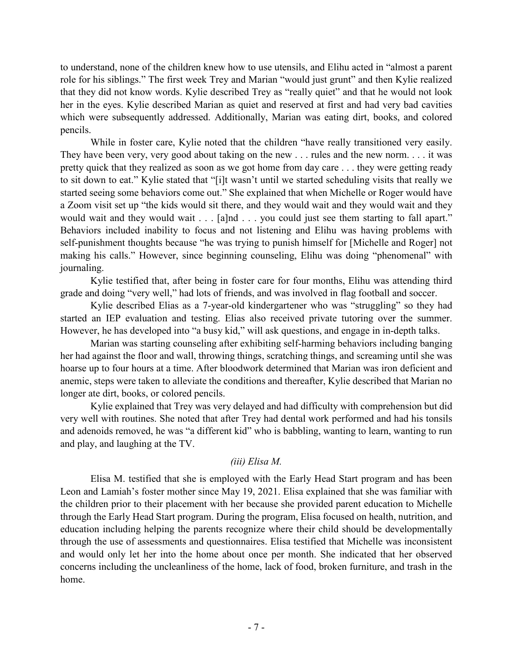to understand, none of the children knew how to use utensils, and Elihu acted in "almost a parent role for his siblings." The first week Trey and Marian "would just grunt" and then Kylie realized that they did not know words. Kylie described Trey as "really quiet" and that he would not look her in the eyes. Kylie described Marian as quiet and reserved at first and had very bad cavities which were subsequently addressed. Additionally, Marian was eating dirt, books, and colored pencils.

While in foster care, Kylie noted that the children "have really transitioned very easily. They have been very, very good about taking on the new . . . rules and the new norm. . . . it was pretty quick that they realized as soon as we got home from day care . . . they were getting ready to sit down to eat." Kylie stated that "[i]t wasn't until we started scheduling visits that really we started seeing some behaviors come out." She explained that when Michelle or Roger would have a Zoom visit set up "the kids would sit there, and they would wait and they would wait and they would wait and they would wait . . . [a]nd . . . you could just see them starting to fall apart." Behaviors included inability to focus and not listening and Elihu was having problems with self-punishment thoughts because "he was trying to punish himself for [Michelle and Roger] not making his calls." However, since beginning counseling, Elihu was doing "phenomenal" with journaling.

Kylie testified that, after being in foster care for four months, Elihu was attending third grade and doing "very well," had lots of friends, and was involved in flag football and soccer.

Kylie described Elias as a 7-year-old kindergartener who was "struggling" so they had started an IEP evaluation and testing. Elias also received private tutoring over the summer. However, he has developed into "a busy kid," will ask questions, and engage in in-depth talks.

Marian was starting counseling after exhibiting self-harming behaviors including banging her had against the floor and wall, throwing things, scratching things, and screaming until she was hoarse up to four hours at a time. After bloodwork determined that Marian was iron deficient and anemic, steps were taken to alleviate the conditions and thereafter, Kylie described that Marian no longer ate dirt, books, or colored pencils.

Kylie explained that Trey was very delayed and had difficulty with comprehension but did very well with routines. She noted that after Trey had dental work performed and had his tonsils and adenoids removed, he was "a different kid" who is babbling, wanting to learn, wanting to run and play, and laughing at the TV.

# *(iii) Elisa M.*

Elisa M. testified that she is employed with the Early Head Start program and has been Leon and Lamiah's foster mother since May 19, 2021. Elisa explained that she was familiar with the children prior to their placement with her because she provided parent education to Michelle through the Early Head Start program. During the program, Elisa focused on health, nutrition, and education including helping the parents recognize where their child should be developmentally through the use of assessments and questionnaires. Elisa testified that Michelle was inconsistent and would only let her into the home about once per month. She indicated that her observed concerns including the uncleanliness of the home, lack of food, broken furniture, and trash in the home.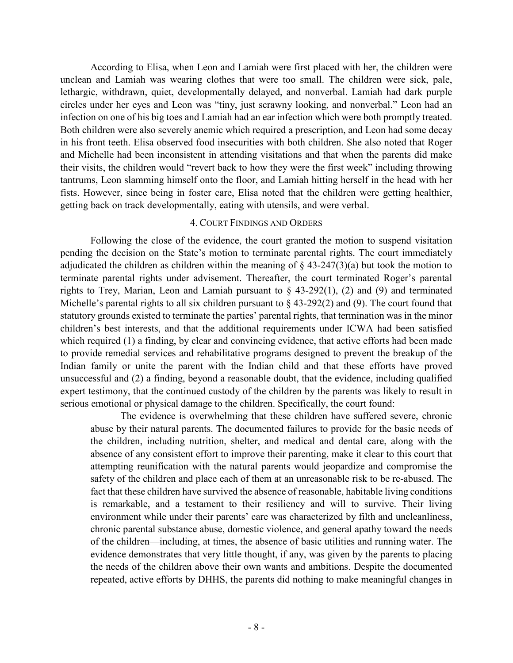According to Elisa, when Leon and Lamiah were first placed with her, the children were unclean and Lamiah was wearing clothes that were too small. The children were sick, pale, lethargic, withdrawn, quiet, developmentally delayed, and nonverbal. Lamiah had dark purple circles under her eyes and Leon was "tiny, just scrawny looking, and nonverbal." Leon had an infection on one of his big toes and Lamiah had an ear infection which were both promptly treated. Both children were also severely anemic which required a prescription, and Leon had some decay in his front teeth. Elisa observed food insecurities with both children. She also noted that Roger and Michelle had been inconsistent in attending visitations and that when the parents did make their visits, the children would "revert back to how they were the first week" including throwing tantrums, Leon slamming himself onto the floor, and Lamiah hitting herself in the head with her fists. However, since being in foster care, Elisa noted that the children were getting healthier, getting back on track developmentally, eating with utensils, and were verbal.

### 4. COURT FINDINGS AND ORDERS

Following the close of the evidence, the court granted the motion to suspend visitation pending the decision on the State's motion to terminate parental rights. The court immediately adjudicated the children as children within the meaning of  $\S$  43-247(3)(a) but took the motion to terminate parental rights under advisement. Thereafter, the court terminated Roger's parental rights to Trey, Marian, Leon and Lamiah pursuant to § 43-292(1), (2) and (9) and terminated Michelle's parental rights to all six children pursuant to  $\S$  43-292(2) and (9). The court found that statutory grounds existed to terminate the parties' parental rights, that termination was in the minor children's best interests, and that the additional requirements under ICWA had been satisfied which required (1) a finding, by clear and convincing evidence, that active efforts had been made to provide remedial services and rehabilitative programs designed to prevent the breakup of the Indian family or unite the parent with the Indian child and that these efforts have proved unsuccessful and (2) a finding, beyond a reasonable doubt, that the evidence, including qualified expert testimony, that the continued custody of the children by the parents was likely to result in serious emotional or physical damage to the children. Specifically, the court found:

The evidence is overwhelming that these children have suffered severe, chronic abuse by their natural parents. The documented failures to provide for the basic needs of the children, including nutrition, shelter, and medical and dental care, along with the absence of any consistent effort to improve their parenting, make it clear to this court that attempting reunification with the natural parents would jeopardize and compromise the safety of the children and place each of them at an unreasonable risk to be re-abused. The fact that these children have survived the absence of reasonable, habitable living conditions is remarkable, and a testament to their resiliency and will to survive. Their living environment while under their parents' care was characterized by filth and uncleanliness, chronic parental substance abuse, domestic violence, and general apathy toward the needs of the children—including, at times, the absence of basic utilities and running water. The evidence demonstrates that very little thought, if any, was given by the parents to placing the needs of the children above their own wants and ambitions. Despite the documented repeated, active efforts by DHHS, the parents did nothing to make meaningful changes in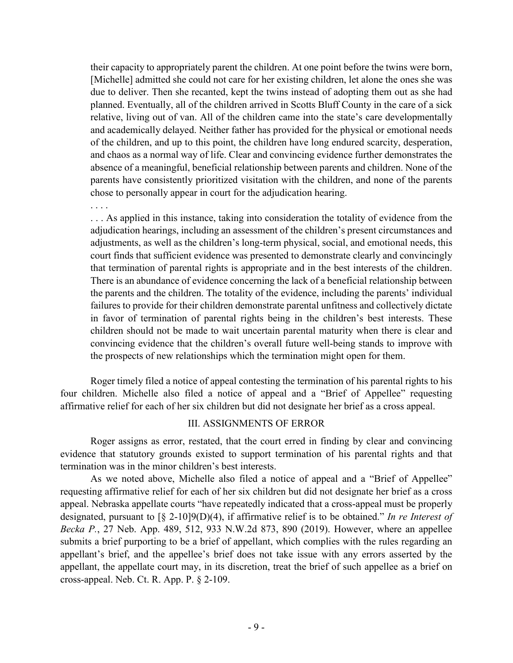their capacity to appropriately parent the children. At one point before the twins were born, [Michelle] admitted she could not care for her existing children, let alone the ones she was due to deliver. Then she recanted, kept the twins instead of adopting them out as she had planned. Eventually, all of the children arrived in Scotts Bluff County in the care of a sick relative, living out of van. All of the children came into the state's care developmentally and academically delayed. Neither father has provided for the physical or emotional needs of the children, and up to this point, the children have long endured scarcity, desperation, and chaos as a normal way of life. Clear and convincing evidence further demonstrates the absence of a meaningful, beneficial relationship between parents and children. None of the parents have consistently prioritized visitation with the children, and none of the parents chose to personally appear in court for the adjudication hearing.

. . . .

. . . As applied in this instance, taking into consideration the totality of evidence from the adjudication hearings, including an assessment of the children's present circumstances and adjustments, as well as the children's long-term physical, social, and emotional needs, this court finds that sufficient evidence was presented to demonstrate clearly and convincingly that termination of parental rights is appropriate and in the best interests of the children. There is an abundance of evidence concerning the lack of a beneficial relationship between the parents and the children. The totality of the evidence, including the parents' individual failures to provide for their children demonstrate parental unfitness and collectively dictate in favor of termination of parental rights being in the children's best interests. These children should not be made to wait uncertain parental maturity when there is clear and convincing evidence that the children's overall future well-being stands to improve with the prospects of new relationships which the termination might open for them.

Roger timely filed a notice of appeal contesting the termination of his parental rights to his four children. Michelle also filed a notice of appeal and a "Brief of Appellee" requesting affirmative relief for each of her six children but did not designate her brief as a cross appeal.

### III. ASSIGNMENTS OF ERROR

Roger assigns as error, restated, that the court erred in finding by clear and convincing evidence that statutory grounds existed to support termination of his parental rights and that termination was in the minor children's best interests.

As we noted above, Michelle also filed a notice of appeal and a "Brief of Appellee" requesting affirmative relief for each of her six children but did not designate her brief as a cross appeal. Nebraska appellate courts "have repeatedly indicated that a cross-appeal must be properly designated, pursuant to [§ 2-10]9(D)(4), if affirmative relief is to be obtained." *In re Interest of Becka P.*, 27 Neb. App. 489, 512, 933 N.W.2d 873, 890 (2019). However, where an appellee submits a brief purporting to be a brief of appellant, which complies with the rules regarding an appellant's brief, and the appellee's brief does not take issue with any errors asserted by the appellant, the appellate court may, in its discretion, treat the brief of such appellee as a brief on cross-appeal. Neb. Ct. R. App. P. § 2-109.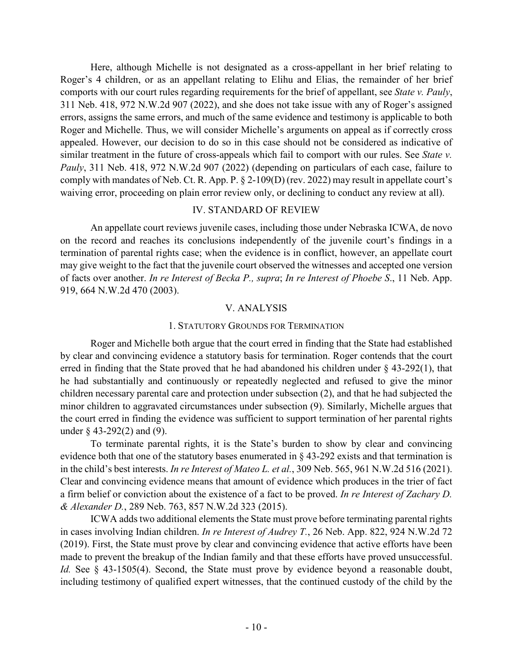Here, although Michelle is not designated as a cross-appellant in her brief relating to Roger's 4 children, or as an appellant relating to Elihu and Elias, the remainder of her brief comports with our court rules regarding requirements for the brief of appellant, see *State v. Pauly*, 311 Neb. 418, 972 N.W.2d 907 (2022), and she does not take issue with any of Roger's assigned errors, assigns the same errors, and much of the same evidence and testimony is applicable to both Roger and Michelle. Thus, we will consider Michelle's arguments on appeal as if correctly cross appealed. However, our decision to do so in this case should not be considered as indicative of similar treatment in the future of cross-appeals which fail to comport with our rules. See *State v. Pauly*, 311 Neb. 418, 972 N.W.2d 907 (2022) (depending on particulars of each case, failure to comply with mandates of Neb. Ct. R. App. P. § 2-109(D) (rev. 2022) may result in appellate court's waiving error, proceeding on plain error review only, or declining to conduct any review at all).

## IV. STANDARD OF REVIEW

An appellate court reviews juvenile cases, including those under Nebraska ICWA, de novo on the record and reaches its conclusions independently of the juvenile court's findings in a termination of parental rights case; when the evidence is in conflict, however, an appellate court may give weight to the fact that the juvenile court observed the witnesses and accepted one version of facts over another. *In re Interest of Becka P., supra*; *In re Interest of Phoebe S*., 11 Neb. App. 919, 664 N.W.2d 470 (2003).

## V. ANALYSIS

### 1. STATUTORY GROUNDS FOR TERMINATION

Roger and Michelle both argue that the court erred in finding that the State had established by clear and convincing evidence a statutory basis for termination. Roger contends that the court erred in finding that the State proved that he had abandoned his children under § 43-292(1), that he had substantially and continuously or repeatedly neglected and refused to give the minor children necessary parental care and protection under subsection (2), and that he had subjected the minor children to aggravated circumstances under subsection (9). Similarly, Michelle argues that the court erred in finding the evidence was sufficient to support termination of her parental rights under § 43-292(2) and (9).

To terminate parental rights, it is the State's burden to show by clear and convincing evidence both that one of the statutory bases enumerated in § 43-292 exists and that termination is in the child's best interests. *In re Interest of Mateo L. et al.*, 309 Neb. 565, 961 N.W.2d 516 (2021). Clear and convincing evidence means that amount of evidence which produces in the trier of fact a firm belief or conviction about the existence of a fact to be proved. *In re Interest of Zachary D. & Alexander D.*, 289 Neb. 763, 857 N.W.2d 323 (2015).

ICWA adds two additional elements the State must prove before terminating parental rights in cases involving Indian children. *In re Interest of Audrey T.*, 26 Neb. App. 822, 924 N.W.2d 72 (2019). First, the State must prove by clear and convincing evidence that active efforts have been made to prevent the breakup of the Indian family and that these efforts have proved unsuccessful. *Id.* See § 43-1505(4). Second, the State must prove by evidence beyond a reasonable doubt, including testimony of qualified expert witnesses, that the continued custody of the child by the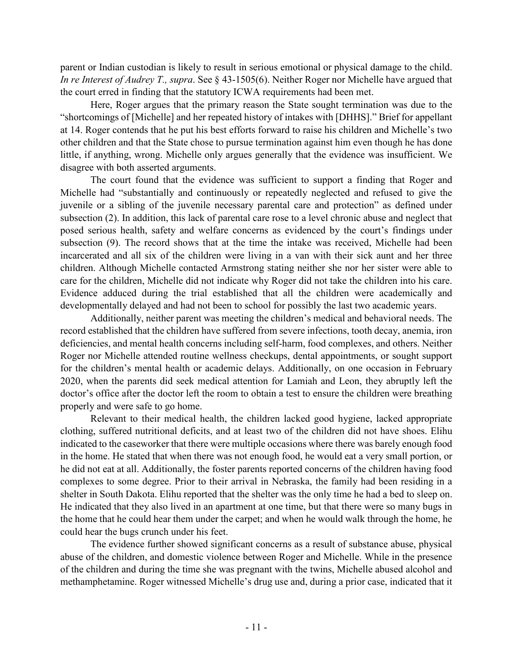parent or Indian custodian is likely to result in serious emotional or physical damage to the child. *In re Interest of Audrey T., supra*. See § 43-1505(6). Neither Roger nor Michelle have argued that the court erred in finding that the statutory ICWA requirements had been met.

Here, Roger argues that the primary reason the State sought termination was due to the "shortcomings of [Michelle] and her repeated history of intakes with [DHHS]." Brief for appellant at 14. Roger contends that he put his best efforts forward to raise his children and Michelle's two other children and that the State chose to pursue termination against him even though he has done little, if anything, wrong. Michelle only argues generally that the evidence was insufficient. We disagree with both asserted arguments.

The court found that the evidence was sufficient to support a finding that Roger and Michelle had "substantially and continuously or repeatedly neglected and refused to give the juvenile or a sibling of the juvenile necessary parental care and protection" as defined under subsection (2). In addition, this lack of parental care rose to a level chronic abuse and neglect that posed serious health, safety and welfare concerns as evidenced by the court's findings under subsection (9). The record shows that at the time the intake was received, Michelle had been incarcerated and all six of the children were living in a van with their sick aunt and her three children. Although Michelle contacted Armstrong stating neither she nor her sister were able to care for the children, Michelle did not indicate why Roger did not take the children into his care. Evidence adduced during the trial established that all the children were academically and developmentally delayed and had not been to school for possibly the last two academic years.

Additionally, neither parent was meeting the children's medical and behavioral needs. The record established that the children have suffered from severe infections, tooth decay, anemia, iron deficiencies, and mental health concerns including self-harm, food complexes, and others. Neither Roger nor Michelle attended routine wellness checkups, dental appointments, or sought support for the children's mental health or academic delays. Additionally, on one occasion in February 2020, when the parents did seek medical attention for Lamiah and Leon, they abruptly left the doctor's office after the doctor left the room to obtain a test to ensure the children were breathing properly and were safe to go home.

Relevant to their medical health, the children lacked good hygiene, lacked appropriate clothing, suffered nutritional deficits, and at least two of the children did not have shoes. Elihu indicated to the caseworker that there were multiple occasions where there was barely enough food in the home. He stated that when there was not enough food, he would eat a very small portion, or he did not eat at all. Additionally, the foster parents reported concerns of the children having food complexes to some degree. Prior to their arrival in Nebraska, the family had been residing in a shelter in South Dakota. Elihu reported that the shelter was the only time he had a bed to sleep on. He indicated that they also lived in an apartment at one time, but that there were so many bugs in the home that he could hear them under the carpet; and when he would walk through the home, he could hear the bugs crunch under his feet.

The evidence further showed significant concerns as a result of substance abuse, physical abuse of the children, and domestic violence between Roger and Michelle. While in the presence of the children and during the time she was pregnant with the twins, Michelle abused alcohol and methamphetamine. Roger witnessed Michelle's drug use and, during a prior case, indicated that it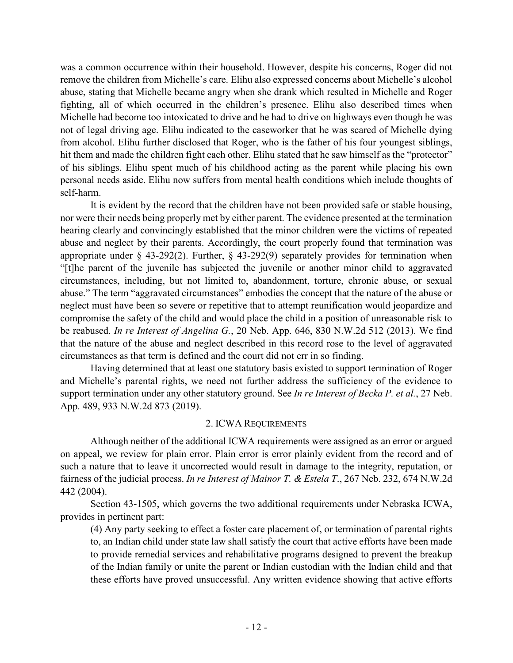was a common occurrence within their household. However, despite his concerns, Roger did not remove the children from Michelle's care. Elihu also expressed concerns about Michelle's alcohol abuse, stating that Michelle became angry when she drank which resulted in Michelle and Roger fighting, all of which occurred in the children's presence. Elihu also described times when Michelle had become too intoxicated to drive and he had to drive on highways even though he was not of legal driving age. Elihu indicated to the caseworker that he was scared of Michelle dying from alcohol. Elihu further disclosed that Roger, who is the father of his four youngest siblings, hit them and made the children fight each other. Elihu stated that he saw himself as the "protector" of his siblings. Elihu spent much of his childhood acting as the parent while placing his own personal needs aside. Elihu now suffers from mental health conditions which include thoughts of self-harm.

It is evident by the record that the children have not been provided safe or stable housing, nor were their needs being properly met by either parent. The evidence presented at the termination hearing clearly and convincingly established that the minor children were the victims of repeated abuse and neglect by their parents. Accordingly, the court properly found that termination was appropriate under § 43-292(2). Further, § 43-292(9) separately provides for termination when "[t]he parent of the juvenile has subjected the juvenile or another minor child to aggravated circumstances, including, but not limited to, abandonment, torture, chronic abuse, or sexual abuse." The term "aggravated circumstances" embodies the concept that the nature of the abuse or neglect must have been so severe or repetitive that to attempt reunification would jeopardize and compromise the safety of the child and would place the child in a position of unreasonable risk to be reabused. *In re Interest of Angelina G.*, 20 Neb. App. 646, 830 N.W.2d 512 (2013). We find that the nature of the abuse and neglect described in this record rose to the level of aggravated circumstances as that term is defined and the court did not err in so finding.

Having determined that at least one statutory basis existed to support termination of Roger and Michelle's parental rights, we need not further address the sufficiency of the evidence to support termination under any other statutory ground. See *In re Interest of Becka P. et al.*, 27 Neb. App. 489, 933 N.W.2d 873 (2019).

### 2. ICWA REQUIREMENTS

Although neither of the additional ICWA requirements were assigned as an error or argued on appeal, we review for plain error. Plain error is error plainly evident from the record and of such a nature that to leave it uncorrected would result in damage to the integrity, reputation, or fairness of the judicial process. *In re Interest of Mainor T. & Estela T*., 267 Neb. 232, 674 N.W.2d 442 (2004).

Section 43-1505, which governs the two additional requirements under Nebraska ICWA, provides in pertinent part:

(4) Any party seeking to effect a foster care placement of, or termination of parental rights to, an Indian child under state law shall satisfy the court that active efforts have been made to provide remedial services and rehabilitative programs designed to prevent the breakup of the Indian family or unite the parent or Indian custodian with the Indian child and that these efforts have proved unsuccessful. Any written evidence showing that active efforts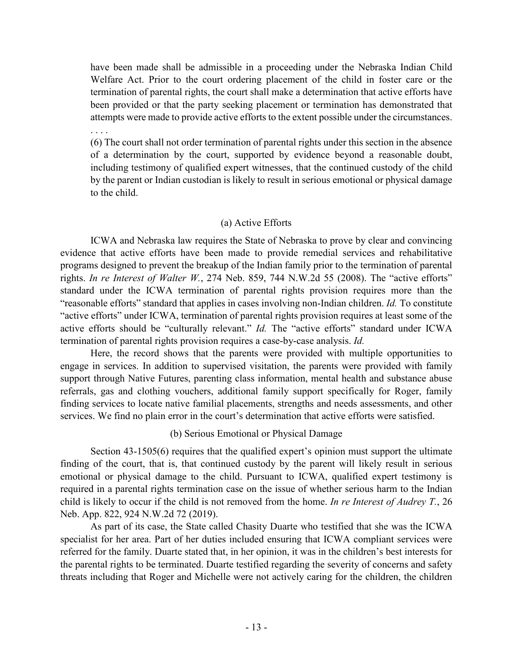have been made shall be admissible in a proceeding under the Nebraska Indian Child Welfare Act. Prior to the court ordering placement of the child in foster care or the termination of parental rights, the court shall make a determination that active efforts have been provided or that the party seeking placement or termination has demonstrated that attempts were made to provide active efforts to the extent possible under the circumstances.

. . . .

(6) The court shall not order termination of parental rights under this section in the absence of a determination by the court, supported by evidence beyond a reasonable doubt, including testimony of qualified expert witnesses, that the continued custody of the child by the parent or Indian custodian is likely to result in serious emotional or physical damage to the child.

# (a) Active Efforts

ICWA and Nebraska law requires the State of Nebraska to prove by clear and convincing evidence that active efforts have been made to provide remedial services and rehabilitative programs designed to prevent the breakup of the Indian family prior to the termination of parental rights. *In re Interest of Walter W.*, 274 Neb. 859, 744 N.W.2d 55 (2008). The "active efforts" standard under the ICWA termination of parental rights provision requires more than the "reasonable efforts" standard that applies in cases involving non-Indian children. *Id.* To constitute "active efforts" under ICWA, termination of parental rights provision requires at least some of the active efforts should be "culturally relevant." *Id.* The "active efforts" standard under ICWA termination of parental rights provision requires a case-by-case analysis. *Id.*

Here, the record shows that the parents were provided with multiple opportunities to engage in services. In addition to supervised visitation, the parents were provided with family support through Native Futures, parenting class information, mental health and substance abuse referrals, gas and clothing vouchers, additional family support specifically for Roger, family finding services to locate native familial placements, strengths and needs assessments, and other services. We find no plain error in the court's determination that active efforts were satisfied.

# (b) Serious Emotional or Physical Damage

Section 43-1505(6) requires that the qualified expert's opinion must support the ultimate finding of the court, that is, that continued custody by the parent will likely result in serious emotional or physical damage to the child. Pursuant to ICWA, qualified expert testimony is required in a parental rights termination case on the issue of whether serious harm to the Indian child is likely to occur if the child is not removed from the home. *In re Interest of Audrey T.*, 26 Neb. App. 822, 924 N.W.2d 72 (2019).

As part of its case, the State called Chasity Duarte who testified that she was the ICWA specialist for her area. Part of her duties included ensuring that ICWA compliant services were referred for the family. Duarte stated that, in her opinion, it was in the children's best interests for the parental rights to be terminated. Duarte testified regarding the severity of concerns and safety threats including that Roger and Michelle were not actively caring for the children, the children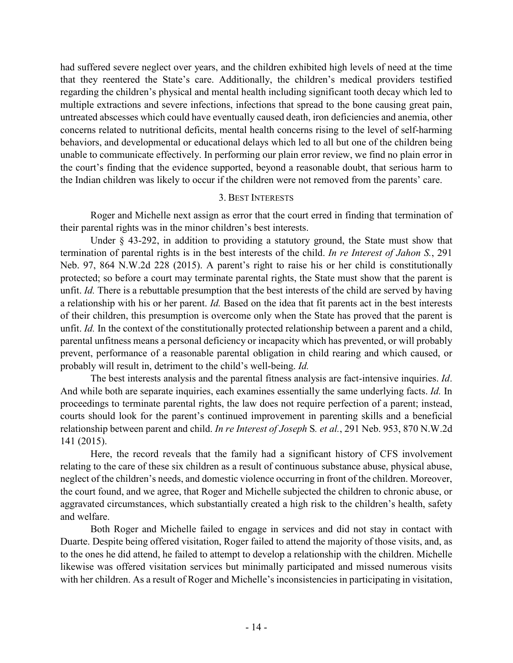had suffered severe neglect over years, and the children exhibited high levels of need at the time that they reentered the State's care. Additionally, the children's medical providers testified regarding the children's physical and mental health including significant tooth decay which led to multiple extractions and severe infections, infections that spread to the bone causing great pain, untreated abscesses which could have eventually caused death, iron deficiencies and anemia, other concerns related to nutritional deficits, mental health concerns rising to the level of self-harming behaviors, and developmental or educational delays which led to all but one of the children being unable to communicate effectively. In performing our plain error review, we find no plain error in the court's finding that the evidence supported, beyond a reasonable doubt, that serious harm to the Indian children was likely to occur if the children were not removed from the parents' care.

## 3. BEST INTERESTS

Roger and Michelle next assign as error that the court erred in finding that termination of their parental rights was in the minor children's best interests.

Under § 43-292, in addition to providing a statutory ground, the State must show that termination of parental rights is in the best interests of the child. *In re Interest of Jahon S.*, 291 Neb. 97, 864 N.W.2d 228 (2015). A parent's right to raise his or her child is constitutionally protected; so before a court may terminate parental rights, the State must show that the parent is unfit. *Id.* There is a rebuttable presumption that the best interests of the child are served by having a relationship with his or her parent. *Id.* Based on the idea that fit parents act in the best interests of their children, this presumption is overcome only when the State has proved that the parent is unfit. *Id.* In the context of the constitutionally protected relationship between a parent and a child, parental unfitness means a personal deficiency or incapacity which has prevented, or will probably prevent, performance of a reasonable parental obligation in child rearing and which caused, or probably will result in, detriment to the child's well-being. *Id.*

The best interests analysis and the parental fitness analysis are fact-intensive inquiries. *Id*. And while both are separate inquiries, each examines essentially the same underlying facts. *Id.* In proceedings to terminate parental rights, the law does not require perfection of a parent; instead, courts should look for the parent's continued improvement in parenting skills and a beneficial relationship between parent and child. *In re Interest of Joseph* S*. et al.*, 291 Neb. 953, 870 N.W.2d 141 (2015).

Here, the record reveals that the family had a significant history of CFS involvement relating to the care of these six children as a result of continuous substance abuse, physical abuse, neglect of the children's needs, and domestic violence occurring in front of the children. Moreover, the court found, and we agree, that Roger and Michelle subjected the children to chronic abuse, or aggravated circumstances, which substantially created a high risk to the children's health, safety and welfare.

Both Roger and Michelle failed to engage in services and did not stay in contact with Duarte. Despite being offered visitation, Roger failed to attend the majority of those visits, and, as to the ones he did attend, he failed to attempt to develop a relationship with the children. Michelle likewise was offered visitation services but minimally participated and missed numerous visits with her children. As a result of Roger and Michelle's inconsistencies in participating in visitation,